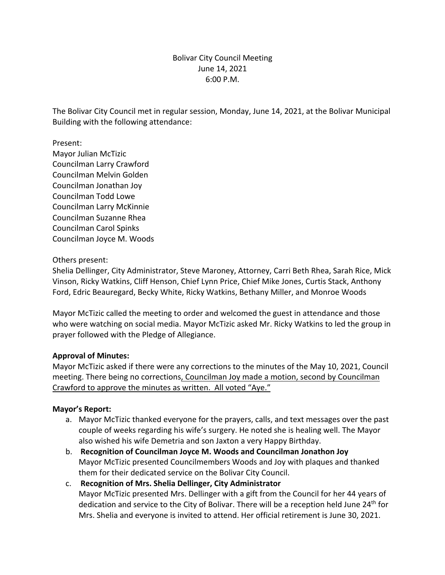## Bolivar City Council Meeting June 14, 2021 6:00 P.M.

The Bolivar City Council met in regular session, Monday, June 14, 2021, at the Bolivar Municipal Building with the following attendance:

Present: Mayor Julian McTizic Councilman Larry Crawford Councilman Melvin Golden Councilman Jonathan Joy Councilman Todd Lowe Councilman Larry McKinnie Councilman Suzanne Rhea Councilman Carol Spinks Councilman Joyce M. Woods

Others present:

Shelia Dellinger, City Administrator, Steve Maroney, Attorney, Carri Beth Rhea, Sarah Rice, Mick Vinson, Ricky Watkins, Cliff Henson, Chief Lynn Price, Chief Mike Jones, Curtis Stack, Anthony Ford, Edric Beauregard, Becky White, Ricky Watkins, Bethany Miller, and Monroe Woods

Mayor McTizic called the meeting to order and welcomed the guest in attendance and those who were watching on social media. Mayor McTizic asked Mr. Ricky Watkins to led the group in prayer followed with the Pledge of Allegiance.

### **Approval of Minutes:**

Mayor McTizic asked if there were any corrections to the minutes of the May 10, 2021, Council meeting. There being no corrections, Councilman Joy made a motion, second by Councilman Crawford to approve the minutes as written. All voted "Aye."

### **Mayor's Report:**

- a. Mayor McTizic thanked everyone for the prayers, calls, and text messages over the past couple of weeks regarding his wife's surgery. He noted she is healing well. The Mayor also wished his wife Demetria and son Jaxton a very Happy Birthday.
- b. **Recognition of Councilman Joyce M. Woods and Councilman Jonathon Joy** Mayor McTizic presented Councilmembers Woods and Joy with plaques and thanked them for their dedicated service on the Bolivar City Council.
- c. **Recognition of Mrs. Shelia Dellinger, City Administrator** Mayor McTizic presented Mrs. Dellinger with a gift from the Council for her 44 years of dedication and service to the City of Bolivar. There will be a reception held June 24<sup>th</sup> for Mrs. Shelia and everyone is invited to attend. Her official retirement is June 30, 2021.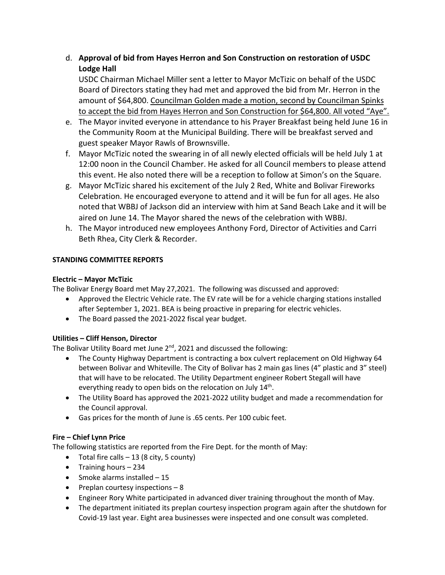## d. **Approval of bid from Hayes Herron and Son Construction on restoration of USDC Lodge Hall**

USDC Chairman Michael Miller sent a letter to Mayor McTizic on behalf of the USDC Board of Directors stating they had met and approved the bid from Mr. Herron in the amount of \$64,800. Councilman Golden made a motion, second by Councilman Spinks to accept the bid from Hayes Herron and Son Construction for \$64,800. All voted "Aye".

- e. The Mayor invited everyone in attendance to his Prayer Breakfast being held June 16 in the Community Room at the Municipal Building. There will be breakfast served and guest speaker Mayor Rawls of Brownsville.
- f. Mayor McTizic noted the swearing in of all newly elected officials will be held July 1 at 12:00 noon in the Council Chamber. He asked for all Council members to please attend this event. He also noted there will be a reception to follow at Simon's on the Square.
- g. Mayor McTizic shared his excitement of the July 2 Red, White and Bolivar Fireworks Celebration. He encouraged everyone to attend and it will be fun for all ages. He also noted that WBBJ of Jackson did an interview with him at Sand Beach Lake and it will be aired on June 14. The Mayor shared the news of the celebration with WBBJ.
- h. The Mayor introduced new employees Anthony Ford, Director of Activities and Carri Beth Rhea, City Clerk & Recorder.

## **STANDING COMMITTEE REPORTS**

## **Electric – Mayor McTizic**

The Bolivar Energy Board met May 27,2021. The following was discussed and approved:

- Approved the Electric Vehicle rate. The EV rate will be for a vehicle charging stations installed after September 1, 2021. BEA is being proactive in preparing for electric vehicles.
- The Board passed the 2021-2022 fiscal year budget.

## **Utilities – Cliff Henson, Director**

The Bolivar Utility Board met June  $2^{nd}$ , 2021 and discussed the following:

- The County Highway Department is contracting a box culvert replacement on Old Highway 64 between Bolivar and Whiteville. The City of Bolivar has 2 main gas lines (4" plastic and 3" steel) that will have to be relocated. The Utility Department engineer Robert Stegall will have everything ready to open bids on the relocation on July 14<sup>th</sup>.
- The Utility Board has approved the 2021-2022 utility budget and made a recommendation for the Council approval.
- Gas prices for the month of June is .65 cents. Per 100 cubic feet.

## **Fire – Chief Lynn Price**

The following statistics are reported from the Fire Dept. for the month of May:

- Total fire calls  $-13$  (8 city, 5 county)
- Training hours 234
- Smoke alarms installed 15
- Preplan courtesy inspections  $-8$
- Engineer Rory White participated in advanced diver training throughout the month of May.
- The department initiated its preplan courtesy inspection program again after the shutdown for Covid-19 last year. Eight area businesses were inspected and one consult was completed.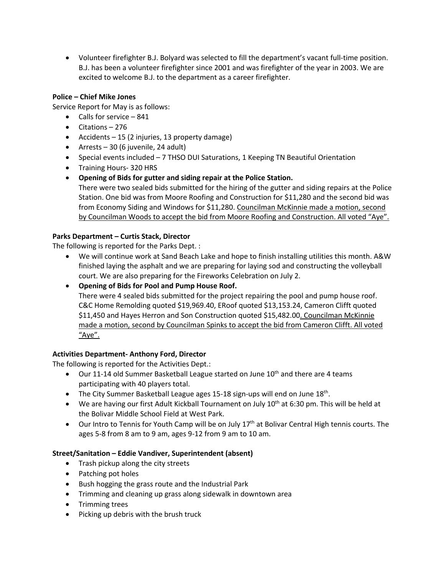• Volunteer firefighter B.J. Bolyard was selected to fill the department's vacant full-time position. B.J. has been a volunteer firefighter since 2001 and was firefighter of the year in 2003. We are excited to welcome B.J. to the department as a career firefighter.

## **Police – Chief Mike Jones**

Service Report for May is as follows:

- Calls for service 841
- Citations 276
- Accidents 15 (2 injuries, 13 property damage)
- Arrests 30 (6 juvenile, 24 adult)
- Special events included 7 THSO DUI Saturations, 1 Keeping TN Beautiful Orientation
- Training Hours- 320 HRS
- **Opening of Bids for gutter and siding repair at the Police Station.**  There were two sealed bids submitted for the hiring of the gutter and siding repairs at the Police Station. One bid was from Moore Roofing and Construction for \$11,280 and the second bid was

from Economy Siding and Windows for \$11,280. Councilman McKinnie made a motion, second by Councilman Woods to accept the bid from Moore Roofing and Construction. All voted "Aye".

## **Parks Department – Curtis Stack, Director**

The following is reported for the Parks Dept. :

- We will continue work at Sand Beach Lake and hope to finish installing utilities this month. A&W finished laying the asphalt and we are preparing for laying sod and constructing the volleyball court. We are also preparing for the Fireworks Celebration on July 2.
- **Opening of Bids for Pool and Pump House Roof.**

There were 4 sealed bids submitted for the project repairing the pool and pump house roof. C&C Home Remolding quoted \$19,969.40, ERoof quoted \$13,153.24, Cameron Clifft quoted \$11,450 and Hayes Herron and Son Construction quoted \$15,482.00. Councilman McKinnie made a motion, second by Councilman Spinks to accept the bid from Cameron Clifft. All voted "Aye".

## **Activities Department- Anthony Ford, Director**

The following is reported for the Activities Dept.:

- Our 11-14 old Summer Basketball League started on June  $10^{th}$  and there are 4 teams participating with 40 players total.
- The City Summer Basketball League ages 15-18 sign-ups will end on June 18<sup>th</sup>.
- We are having our first Adult Kickball Tournament on July  $10^{th}$  at 6:30 pm. This will be held at the Bolivar Middle School Field at West Park.
- Our Intro to Tennis for Youth Camp will be on July  $17<sup>th</sup>$  at Bolivar Central High tennis courts. The ages 5-8 from 8 am to 9 am, ages 9-12 from 9 am to 10 am.

### **Street/Sanitation – Eddie Vandiver, Superintendent (absent)**

- Trash pickup along the city streets
- Patching pot holes
- Bush hogging the grass route and the Industrial Park
- Trimming and cleaning up grass along sidewalk in downtown area
- Trimming trees
- Picking up debris with the brush truck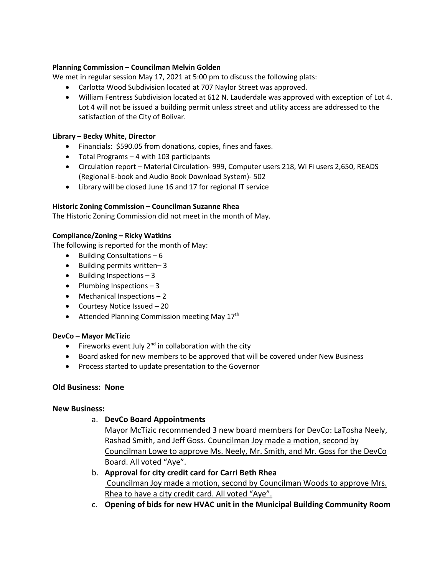#### **Planning Commission – Councilman Melvin Golden**

We met in regular session May 17, 2021 at 5:00 pm to discuss the following plats:

- Carlotta Wood Subdivision located at 707 Naylor Street was approved.
- William Fentress Subdivision located at 612 N. Lauderdale was approved with exception of Lot 4. Lot 4 will not be issued a building permit unless street and utility access are addressed to the satisfaction of the City of Bolivar.

#### **Library – Becky White, Director**

- Financials: \$590.05 from donations, copies, fines and faxes.
- Total Programs 4 with 103 participants
- Circulation report Material Circulation- 999, Computer users 218, Wi Fi users 2,650, READS (Regional E-book and Audio Book Download System)- 502
- Library will be closed June 16 and 17 for regional IT service

#### **Historic Zoning Commission – Councilman Suzanne Rhea**

The Historic Zoning Commission did not meet in the month of May.

#### **Compliance/Zoning – Ricky Watkins**

The following is reported for the month of May:

- Building Consultations 6
- Building permits written– 3
- Building Inspections 3
- Plumbing Inspections  $-3$
- Mechanical Inspections 2
- Courtesy Notice Issued 20
- Attended Planning Commission meeting May  $17<sup>th</sup>$

#### **DevCo – Mayor McTizic**

- Fireworks event July  $2^{nd}$  in collaboration with the city
- Board asked for new members to be approved that will be covered under New Business
- Process started to update presentation to the Governor

#### **Old Business: None**

#### **New Business:**

a. **DevCo Board Appointments**

Mayor McTizic recommended 3 new board members for DevCo: LaTosha Neely, Rashad Smith, and Jeff Goss. Councilman Joy made a motion, second by Councilman Lowe to approve Ms. Neely, Mr. Smith, and Mr. Goss for the DevCo Board. All voted "Aye".

- b. **Approval for city credit card for Carri Beth Rhea** Councilman Joy made a motion, second by Councilman Woods to approve Mrs. Rhea to have a city credit card. All voted "Aye".
- c. **Opening of bids for new HVAC unit in the Municipal Building Community Room**